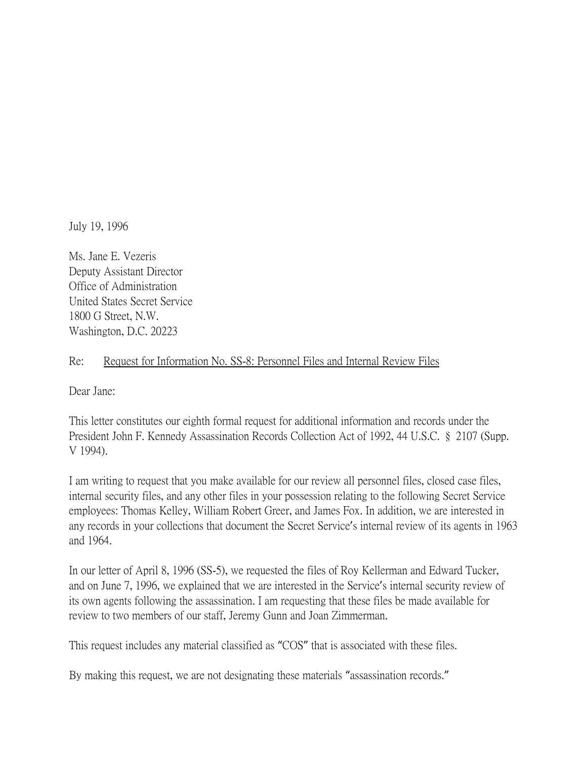July 19, 1996

Ms. Jane E. Vezeris Deputy Assistant Director Office of Administration United States Secret Service 1800 G Street, N.W. Washington, D.C. 20223

## Re: Request for Information No. SS-8: Personnel Files and Internal Review Files

Dear Jane:

This letter constitutes our eighth formal request for additional information and records under the President John F. Kennedy Assassination Records Collection Act of 1992, 44 U.S.C. § 2107 (Supp. V 1994).

I am writing to request that you make available for our review all personnel files, closed case files, internal security files, and any other files in your possession relating to the following Secret Service employees: Thomas Kelley, William Robert Greer, and James Fox. In addition, we are interested in any records in your collections that document the Secret Service's internal review of its agents in 1963 and 1964.

In our letter of April 8, 1996 (SS-5), we requested the files of Roy Kellerman and Edward Tucker, and on June 7, 1996, we explained that we are interested in the Service's internal security review of its own agents following the assassination. I am requesting that these files be made available for review to two members of our staff, Jeremy Gunn and Joan Zimmerman.

This request includes any material classified as "COS" that is associated with these files.

By making this request, we are not designating these materials "assassination records."